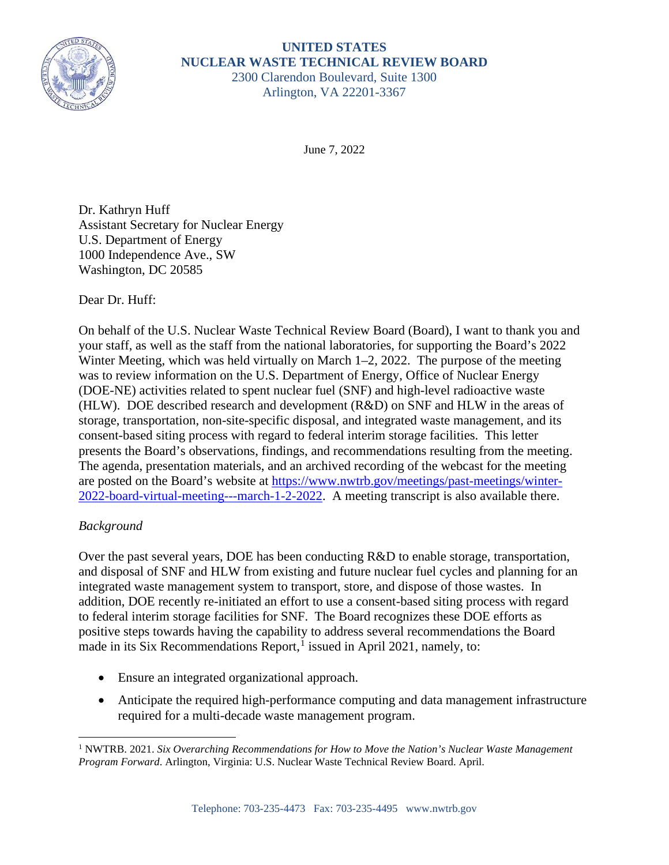

# **UNITED STATES NUCLEAR WASTE TECHNICAL REVIEW BOARD** 2300 Clarendon Boulevard, Suite 1300

Arlington, VA 22201-3367

June 7, 2022

Dr. Kathryn Huff Assistant Secretary for Nuclear Energy U.S. Department of Energy 1000 Independence Ave., SW Washington, DC 20585

Dear Dr. Huff:

On behalf of the U.S. Nuclear Waste Technical Review Board (Board), I want to thank you and your staff, as well as the staff from the national laboratories, for supporting the Board's 2022 Winter Meeting, which was held virtually on March 1–2, 2022. The purpose of the meeting was to review information on the U.S. Department of Energy, Office of Nuclear Energy (DOE-NE) activities related to spent nuclear fuel (SNF) and high-level radioactive waste (HLW). DOE described research and development (R&D) on SNF and HLW in the areas of storage, transportation, non-site-specific disposal, and integrated waste management, and its consent-based siting process with regard to federal interim storage facilities. This letter presents the Board's observations, findings, and recommendations resulting from the meeting. The agenda, presentation materials, and an archived recording of the webcast for the meeting are posted on the Board's website at [https://www.nwtrb.gov/meetings/past-meetings/winter-](https://www.nwtrb.gov/meetings/past-meetings/winter-2022-board-virtual-meeting---march-1-2-2022)[2022-board-virtual-meeting---march-1-2-2022.](https://www.nwtrb.gov/meetings/past-meetings/winter-2022-board-virtual-meeting---march-1-2-2022) A meeting transcript is also available there.

# *Background*

Over the past several years, DOE has been conducting R&D to enable storage, transportation, and disposal of SNF and HLW from existing and future nuclear fuel cycles and planning for an integrated waste management system to transport, store, and dispose of those wastes. In addition, DOE recently re-initiated an effort to use a consent-based siting process with regard to federal interim storage facilities for SNF. The Board recognizes these DOE efforts as positive steps towards having the capability to address several recommendations the Board made in its Six Recommendations Report,<sup>[1](#page-0-0)</sup> issued in April 2021, namely, to:

- Ensure an integrated organizational approach.
- Anticipate the required high-performance computing and data management infrastructure required for a multi-decade waste management program.

<span id="page-0-0"></span><sup>1</sup> NWTRB. 2021. *Six Overarching Recommendations for How to Move the Nation's Nuclear Waste Management Program Forward*. Arlington, Virginia: U.S. Nuclear Waste Technical Review Board. April.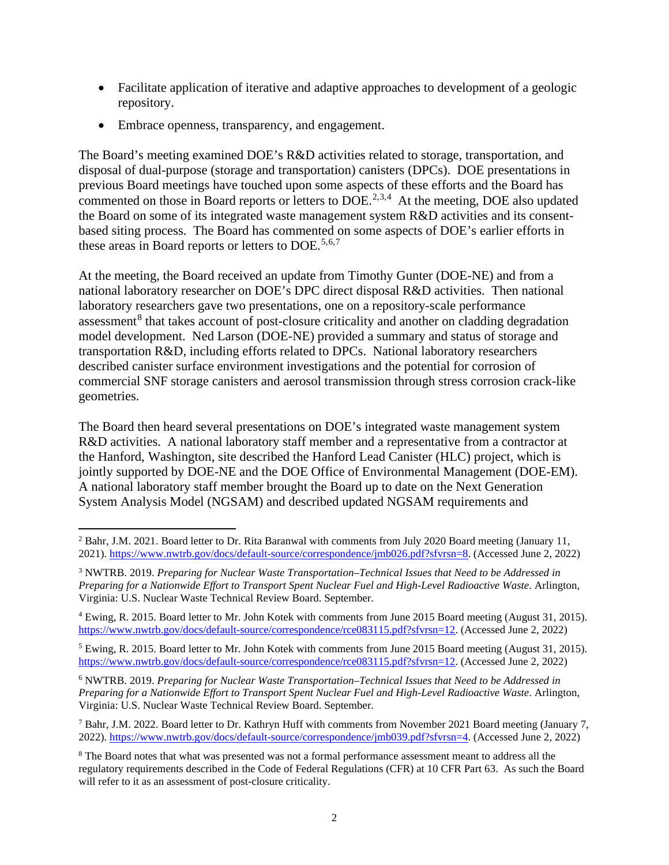- Facilitate application of iterative and adaptive approaches to development of a geologic repository.
- Embrace openness, transparency, and engagement.

The Board's meeting examined DOE's R&D activities related to storage, transportation, and disposal of dual-purpose (storage and transportation) canisters (DPCs). DOE presentations in previous Board meetings have touched upon some aspects of these efforts and the Board has commented on those in Board reports or letters to  $DOE^{2,3,4}$  $DOE^{2,3,4}$  $DOE^{2,3,4}$  $DOE^{2,3,4}$  $DOE^{2,3,4}$  $DOE^{2,3,4}$  At the meeting, DOE also updated the Board on some of its integrated waste management system R&D activities and its consentbased siting process. The Board has commented on some aspects of DOE's earlier efforts in these areas in Board reports or letters to DOE.<sup>[5](#page-1-3),[6,](#page-1-4)[7](#page-1-5)</sup>

At the meeting, the Board received an update from Timothy Gunter (DOE-NE) and from a national laboratory researcher on DOE's DPC direct disposal R&D activities. Then national laboratory researchers gave two presentations, one on a repository-scale performance assessment<sup>[8](#page-1-6)</sup> that takes account of post-closure criticality and another on cladding degradation model development. Ned Larson (DOE-NE) provided a summary and status of storage and transportation R&D, including efforts related to DPCs. National laboratory researchers described canister surface environment investigations and the potential for corrosion of commercial SNF storage canisters and aerosol transmission through stress corrosion crack-like geometries.

The Board then heard several presentations on DOE's integrated waste management system R&D activities. A national laboratory staff member and a representative from a contractor at the Hanford, Washington, site described the Hanford Lead Canister (HLC) project, which is jointly supported by DOE-NE and the DOE Office of Environmental Management (DOE-EM). A national laboratory staff member brought the Board up to date on the Next Generation System Analysis Model (NGSAM) and described updated NGSAM requirements and

<span id="page-1-0"></span><sup>&</sup>lt;sup>2</sup> Bahr, J.M. 2021. Board letter to Dr. Rita Baranwal with comments from July 2020 Board meeting (January 11, 2021). [https://www.nwtrb.gov/docs/default-source/correspondence/jmb026.pdf?sfvrsn=8.](https://www.nwtrb.gov/docs/default-source/correspondence/jmb026.pdf?sfvrsn=8) (Accessed June 2, 2022)

<span id="page-1-1"></span><sup>3</sup> NWTRB. 2019. *Preparing for Nuclear Waste Transportation–Technical Issues that Need to be Addressed in Preparing for a Nationwide Effort to Transport Spent Nuclear Fuel and High-Level Radioactive Waste*. Arlington, Virginia: U.S. Nuclear Waste Technical Review Board. September.

<span id="page-1-2"></span><sup>4</sup> Ewing, R. 2015. Board letter to Mr. John Kotek with comments from June 2015 Board meeting (August 31, 2015). [https://www.nwtrb.gov/docs/default-source/correspondence/rce083115.pdf?sfvrsn=12.](https://www.nwtrb.gov/docs/default-source/correspondence/rce083115.pdf?sfvrsn=12) (Accessed June 2, 2022)

<span id="page-1-3"></span><sup>5</sup> Ewing, R. 2015. Board letter to Mr. John Kotek with comments from June 2015 Board meeting (August 31, 2015). [https://www.nwtrb.gov/docs/default-source/correspondence/rce083115.pdf?sfvrsn=12.](https://www.nwtrb.gov/docs/default-source/correspondence/rce083115.pdf?sfvrsn=12) (Accessed June 2, 2022)

<span id="page-1-4"></span><sup>6</sup> NWTRB. 2019. *Preparing for Nuclear Waste Transportation–Technical Issues that Need to be Addressed in Preparing for a Nationwide Effort to Transport Spent Nuclear Fuel and High-Level Radioactive Waste*. Arlington, Virginia: U.S. Nuclear Waste Technical Review Board. September.

<span id="page-1-5"></span><sup>7</sup> Bahr, J.M. 2022. Board letter to Dr. Kathryn Huff with comments from November 2021 Board meeting (January 7, 2022). [https://www.nwtrb.gov/docs/default-source/correspondence/jmb039.pdf?sfvrsn=4.](https://www.nwtrb.gov/docs/default-source/correspondence/jmb039.pdf?sfvrsn=4) (Accessed June 2, 2022)

<span id="page-1-6"></span><sup>&</sup>lt;sup>8</sup> The Board notes that what was presented was not a formal performance assessment meant to address all the regulatory requirements described in the Code of Federal Regulations (CFR) at 10 CFR Part 63. As such the Board will refer to it as an assessment of post-closure criticality.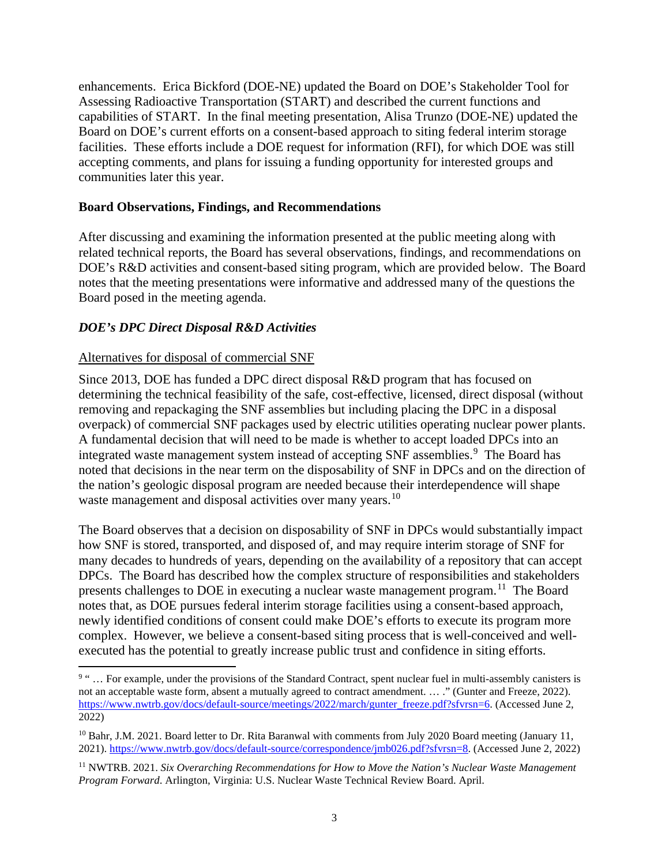enhancements. Erica Bickford (DOE-NE) updated the Board on DOE's Stakeholder Tool for Assessing Radioactive Transportation (START) and described the current functions and capabilities of START. In the final meeting presentation, Alisa Trunzo (DOE-NE) updated the Board on DOE's current efforts on a consent-based approach to siting federal interim storage facilities. These efforts include a DOE request for information (RFI), for which DOE was still accepting comments, and plans for issuing a funding opportunity for interested groups and communities later this year.

# **Board Observations, Findings, and Recommendations**

After discussing and examining the information presented at the public meeting along with related technical reports, the Board has several observations, findings, and recommendations on DOE's R&D activities and consent-based siting program, which are provided below. The Board notes that the meeting presentations were informative and addressed many of the questions the Board posed in the meeting agenda.

# *DOE's DPC Direct Disposal R&D Activities*

# Alternatives for disposal of commercial SNF

Since 2013, DOE has funded a DPC direct disposal R&D program that has focused on determining the technical feasibility of the safe, cost-effective, licensed, direct disposal (without removing and repackaging the SNF assemblies but including placing the DPC in a disposal overpack) of commercial SNF packages used by electric utilities operating nuclear power plants. A fundamental decision that will need to be made is whether to accept loaded DPCs into an integrated waste management system instead of accepting SNF assemblies.<sup>[9](#page-2-0)</sup> The Board has noted that decisions in the near term on the disposability of SNF in DPCs and on the direction of the nation's geologic disposal program are needed because their interdependence will shape waste management and disposal activities over many years.<sup>[10](#page-2-1)</sup>

The Board observes that a decision on disposability of SNF in DPCs would substantially impact how SNF is stored, transported, and disposed of, and may require interim storage of SNF for many decades to hundreds of years, depending on the availability of a repository that can accept DPCs. The Board has described how the complex structure of responsibilities and stakeholders presents challenges to DOE in executing a nuclear waste management program.<sup>11</sup> The Board notes that, as DOE pursues federal interim storage facilities using a consent-based approach, newly identified conditions of consent could make DOE's efforts to execute its program more complex. However, we believe a consent-based siting process that is well-conceived and wellexecuted has the potential to greatly increase public trust and confidence in siting efforts.

<span id="page-2-0"></span><sup>&</sup>lt;sup>9 "</sup> ... For example, under the provisions of the Standard Contract, spent nuclear fuel in multi-assembly canisters is not an acceptable waste form, absent a mutually agreed to contract amendment. … ." (Gunter and Freeze, 2022). [https://www.nwtrb.gov/docs/default-source/meetings/2022/march/gunter\\_freeze.pdf?sfvrsn=6.](https://www.nwtrb.gov/docs/default-source/meetings/2022/march/gunter_freeze.pdf?sfvrsn=6) (Accessed June 2, 2022)

<span id="page-2-1"></span><sup>&</sup>lt;sup>10</sup> Bahr, J.M. 2021. Board letter to Dr. Rita Baranwal with comments from July 2020 Board meeting (January 11, 2021). [https://www.nwtrb.gov/docs/default-source/correspondence/jmb026.pdf?sfvrsn=8.](https://www.nwtrb.gov/docs/default-source/correspondence/jmb026.pdf?sfvrsn=8) (Accessed June 2, 2022)

<span id="page-2-2"></span><sup>11</sup> NWTRB. 2021. *Six Overarching Recommendations for How to Move the Nation's Nuclear Waste Management Program Forward*. Arlington, Virginia: U.S. Nuclear Waste Technical Review Board. April.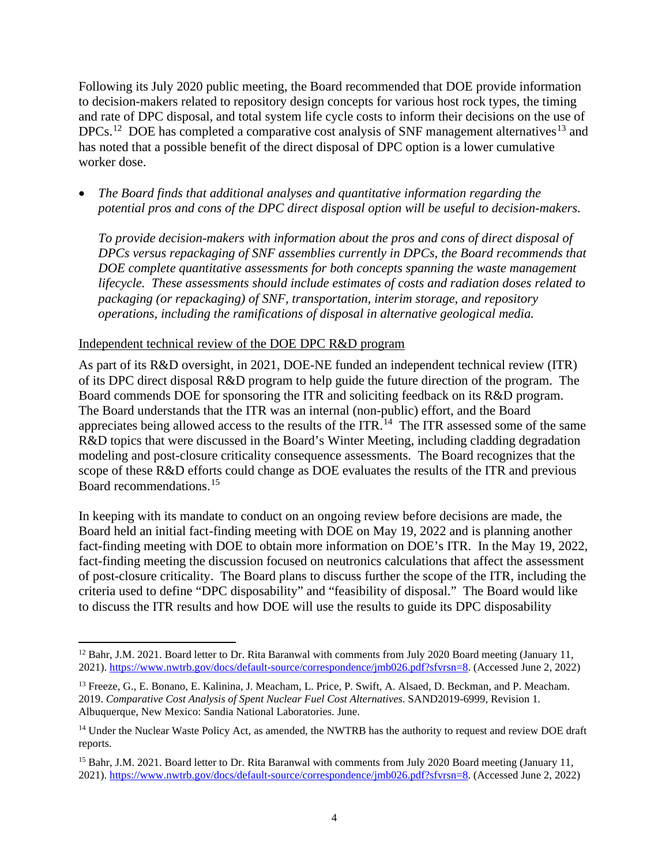Following its July 2020 public meeting, the Board recommended that DOE provide information to decision-makers related to repository design concepts for various host rock types, the timing and rate of DPC disposal, and total system life cycle costs to inform their decisions on the use of DPCs.<sup>12</sup> DOE has completed a comparative cost analysis of SNF management alternatives<sup>[13](#page-3-1)</sup> and has noted that a possible benefit of the direct disposal of DPC option is a lower cumulative worker dose.

• *The Board finds that additional analyses and quantitative information regarding the potential pros and cons of the DPC direct disposal option will be useful to decision-makers.* 

*To provide decision-makers with information about the pros and cons of direct disposal of DPCs versus repackaging of SNF assemblies currently in DPCs, the Board recommends that DOE complete quantitative assessments for both concepts spanning the waste management lifecycle. These assessments should include estimates of costs and radiation doses related to packaging (or repackaging) of SNF, transportation, interim storage, and repository operations, including the ramifications of disposal in alternative geological media.* 

# Independent technical review of the DOE DPC R&D program

As part of its R&D oversight, in 2021, DOE-NE funded an independent technical review (ITR) of its DPC direct disposal R&D program to help guide the future direction of the program. The Board commends DOE for sponsoring the ITR and soliciting feedback on its R&D program. The Board understands that the ITR was an internal (non-public) effort, and the Board appreciates being allowed access to the results of the  $ITR$ .<sup>[14](#page-3-2)</sup> The ITR assessed some of the same R&D topics that were discussed in the Board's Winter Meeting, including cladding degradation modeling and post-closure criticality consequence assessments. The Board recognizes that the scope of these R&D efforts could change as DOE evaluates the results of the ITR and previous Board recommendations.[15](#page-3-3)

In keeping with its mandate to conduct on an ongoing review before decisions are made, the Board held an initial fact-finding meeting with DOE on May 19, 2022 and is planning another fact-finding meeting with DOE to obtain more information on DOE's ITR. In the May 19, 2022, fact-finding meeting the discussion focused on neutronics calculations that affect the assessment of post-closure criticality. The Board plans to discuss further the scope of the ITR, including the criteria used to define "DPC disposability" and "feasibility of disposal." The Board would like to discuss the ITR results and how DOE will use the results to guide its DPC disposability

<span id="page-3-0"></span><sup>&</sup>lt;sup>12</sup> Bahr, J.M. 2021. Board letter to Dr. Rita Baranwal with comments from July 2020 Board meeting (January 11, 2021). [https://www.nwtrb.gov/docs/default-source/correspondence/jmb026.pdf?sfvrsn=8.](https://www.nwtrb.gov/docs/default-source/correspondence/jmb026.pdf?sfvrsn=8) (Accessed June 2, 2022)

<span id="page-3-1"></span><sup>&</sup>lt;sup>13</sup> Freeze, G., E. Bonano, E. Kalinina, J. Meacham, L. Price, P. Swift, A. Alsaed, D. Beckman, and P. Meacham. 2019. *Comparative Cost Analysis of Spent Nuclear Fuel Cost Alternatives*. SAND2019-6999, Revision 1. Albuquerque, New Mexico: Sandia National Laboratories. June.

<span id="page-3-2"></span><sup>&</sup>lt;sup>14</sup> Under the Nuclear Waste Policy Act, as amended, the NWTRB has the authority to request and review DOE draft reports.

<span id="page-3-3"></span><sup>&</sup>lt;sup>15</sup> Bahr, J.M. 2021. Board letter to Dr. Rita Baranwal with comments from July 2020 Board meeting (January 11, 2021). [https://www.nwtrb.gov/docs/default-source/correspondence/jmb026.pdf?sfvrsn=8.](https://www.nwtrb.gov/docs/default-source/correspondence/jmb026.pdf?sfvrsn=8) (Accessed June 2, 2022)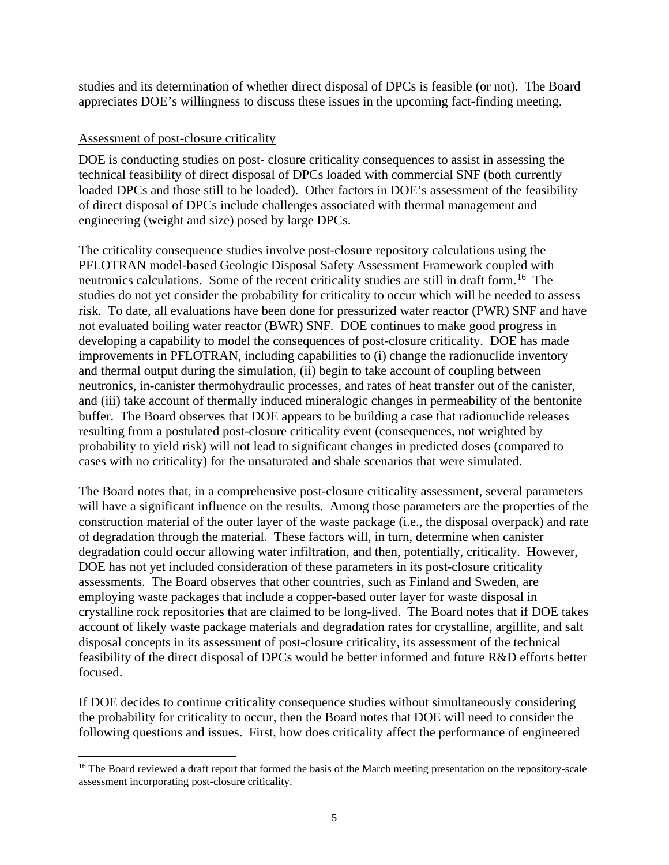studies and its determination of whether direct disposal of DPCs is feasible (or not). The Board appreciates DOE's willingness to discuss these issues in the upcoming fact-finding meeting.

# Assessment of post-closure criticality

DOE is conducting studies on post- closure criticality consequences to assist in assessing the technical feasibility of direct disposal of DPCs loaded with commercial SNF (both currently loaded DPCs and those still to be loaded). Other factors in DOE's assessment of the feasibility of direct disposal of DPCs include challenges associated with thermal management and engineering (weight and size) posed by large DPCs.

The criticality consequence studies involve post-closure repository calculations using the PFLOTRAN model-based Geologic Disposal Safety Assessment Framework coupled with neutronics calculations. Some of the recent criticality studies are still in draft form.<sup>16</sup> The studies do not yet consider the probability for criticality to occur which will be needed to assess risk. To date, all evaluations have been done for pressurized water reactor (PWR) SNF and have not evaluated boiling water reactor (BWR) SNF. DOE continues to make good progress in developing a capability to model the consequences of post-closure criticality. DOE has made improvements in PFLOTRAN, including capabilities to (i) change the radionuclide inventory and thermal output during the simulation, (ii) begin to take account of coupling between neutronics, in-canister thermohydraulic processes, and rates of heat transfer out of the canister, and (iii) take account of thermally induced mineralogic changes in permeability of the bentonite buffer. The Board observes that DOE appears to be building a case that radionuclide releases resulting from a postulated post-closure criticality event (consequences, not weighted by probability to yield risk) will not lead to significant changes in predicted doses (compared to cases with no criticality) for the unsaturated and shale scenarios that were simulated.

The Board notes that, in a comprehensive post-closure criticality assessment, several parameters will have a significant influence on the results. Among those parameters are the properties of the construction material of the outer layer of the waste package (i.e., the disposal overpack) and rate of degradation through the material. These factors will, in turn, determine when canister degradation could occur allowing water infiltration, and then, potentially, criticality. However, DOE has not yet included consideration of these parameters in its post-closure criticality assessments. The Board observes that other countries, such as Finland and Sweden, are employing waste packages that include a copper-based outer layer for waste disposal in crystalline rock repositories that are claimed to be long-lived. The Board notes that if DOE takes account of likely waste package materials and degradation rates for crystalline, argillite, and salt disposal concepts in its assessment of post-closure criticality, its assessment of the technical feasibility of the direct disposal of DPCs would be better informed and future R&D efforts better focused.

If DOE decides to continue criticality consequence studies without simultaneously considering the probability for criticality to occur, then the Board notes that DOE will need to consider the following questions and issues. First, how does criticality affect the performance of engineered

<span id="page-4-0"></span><sup>&</sup>lt;sup>16</sup> The Board reviewed a draft report that formed the basis of the March meeting presentation on the repository-scale assessment incorporating post-closure criticality.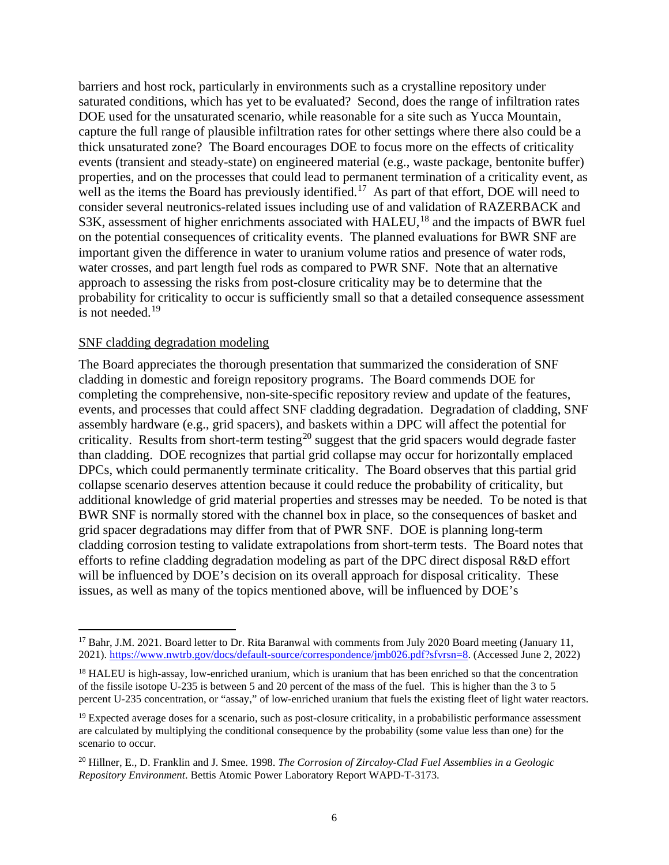barriers and host rock, particularly in environments such as a crystalline repository under saturated conditions, which has yet to be evaluated? Second, does the range of infiltration rates DOE used for the unsaturated scenario, while reasonable for a site such as Yucca Mountain, capture the full range of plausible infiltration rates for other settings where there also could be a thick unsaturated zone? The Board encourages DOE to focus more on the effects of criticality events (transient and steady-state) on engineered material (e.g., waste package, bentonite buffer) properties, and on the processes that could lead to permanent termination of a criticality event, as well as the items the Board has previously identified.<sup>17</sup> As part of that effort, DOE will need to consider several neutronics-related issues including use of and validation of RAZERBACK and S3K, assessment of higher enrichments associated with HALEU,<sup>[18](#page-5-1)</sup> and the impacts of BWR fuel on the potential consequences of criticality events. The planned evaluations for BWR SNF are important given the difference in water to uranium volume ratios and presence of water rods, water crosses, and part length fuel rods as compared to PWR SNF. Note that an alternative approach to assessing the risks from post-closure criticality may be to determine that the probability for criticality to occur is sufficiently small so that a detailed consequence assessment is not needed. [19](#page-5-2)

#### SNF cladding degradation modeling

The Board appreciates the thorough presentation that summarized the consideration of SNF cladding in domestic and foreign repository programs. The Board commends DOE for completing the comprehensive, non-site-specific repository review and update of the features, events, and processes that could affect SNF cladding degradation. Degradation of cladding, SNF assembly hardware (e.g., grid spacers), and baskets within a DPC will affect the potential for criticality. Results from short-term testing<sup>[20](#page-5-3)</sup> suggest that the grid spacers would degrade faster than cladding. DOE recognizes that partial grid collapse may occur for horizontally emplaced DPCs, which could permanently terminate criticality. The Board observes that this partial grid collapse scenario deserves attention because it could reduce the probability of criticality, but additional knowledge of grid material properties and stresses may be needed. To be noted is that BWR SNF is normally stored with the channel box in place, so the consequences of basket and grid spacer degradations may differ from that of PWR SNF. DOE is planning long-term cladding corrosion testing to validate extrapolations from short-term tests. The Board notes that efforts to refine cladding degradation modeling as part of the DPC direct disposal R&D effort will be influenced by DOE's decision on its overall approach for disposal criticality. These issues, as well as many of the topics mentioned above, will be influenced by DOE's

<span id="page-5-0"></span><sup>&</sup>lt;sup>17</sup> Bahr, J.M. 2021. Board letter to Dr. Rita Baranwal with comments from July 2020 Board meeting (January 11, 2021). [https://www.nwtrb.gov/docs/default-source/correspondence/jmb026.pdf?sfvrsn=8.](https://www.nwtrb.gov/docs/default-source/correspondence/jmb026.pdf?sfvrsn=8) (Accessed June 2, 2022)

<span id="page-5-1"></span><sup>&</sup>lt;sup>18</sup> HALEU is high-assay, low-enriched uranium, which is uranium that has been enriched so that the concentration of the fissile isotope U-235 is between 5 and 20 percent of the mass of the fuel. This is higher than the 3 to 5 percent U-235 concentration, or "assay," of low-enriched uranium that fuels the existing fleet of light water reactors.

<span id="page-5-2"></span> $19$  Expected average doses for a scenario, such as post-closure criticality, in a probabilistic performance assessment are calculated by multiplying the conditional consequence by the probability (some value less than one) for the scenario to occur.

<span id="page-5-3"></span><sup>20</sup> Hillner, E., D. Franklin and J. Smee. 1998. *The Corrosion of Zircaloy-Clad Fuel Assemblies in a Geologic Repository Environment*. Bettis Atomic Power Laboratory Report WAPD-T-3173.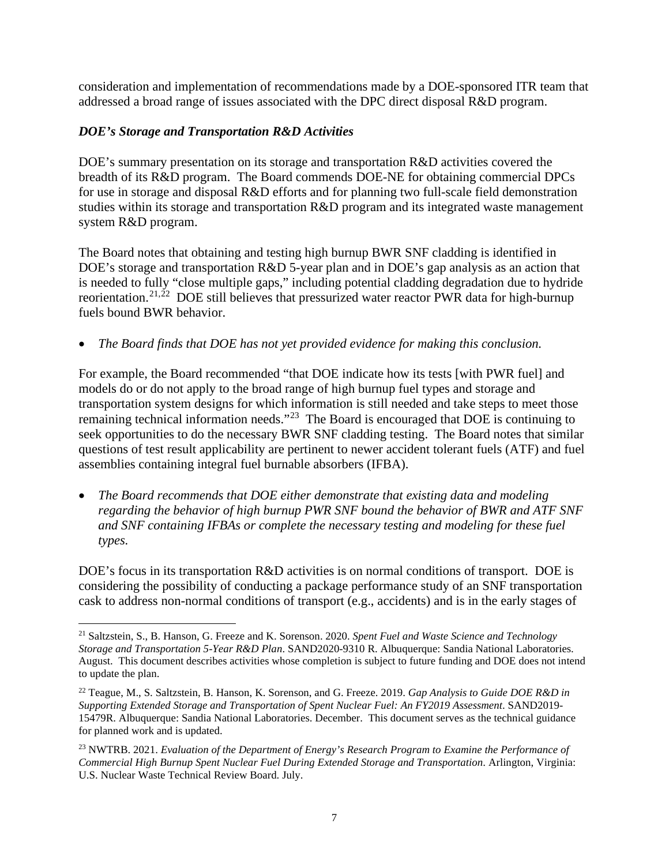consideration and implementation of recommendations made by a DOE-sponsored ITR team that addressed a broad range of issues associated with the DPC direct disposal R&D program.

# *DOE's Storage and Transportation R&D Activities*

DOE's summary presentation on its storage and transportation R&D activities covered the breadth of its R&D program. The Board commends DOE-NE for obtaining commercial DPCs for use in storage and disposal R&D efforts and for planning two full-scale field demonstration studies within its storage and transportation R&D program and its integrated waste management system R&D program.

The Board notes that obtaining and testing high burnup BWR SNF cladding is identified in DOE's storage and transportation R&D 5-year plan and in DOE's gap analysis as an action that is needed to fully "close multiple gaps," including potential cladding degradation due to hydride reorientation.<sup>[21,](#page-6-0)22</sup> DOE still believes that pressurized water reactor PWR data for high-burnup fuels bound BWR behavior.

• *The Board finds that DOE has not yet provided evidence for making this conclusion.* 

For example, the Board recommended "that DOE indicate how its tests [with PWR fuel] and models do or do not apply to the broad range of high burnup fuel types and storage and transportation system designs for which information is still needed and take steps to meet those remaining technical information needs."[23](#page-6-2) The Board is encouraged that DOE is continuing to seek opportunities to do the necessary BWR SNF cladding testing. The Board notes that similar questions of test result applicability are pertinent to newer accident tolerant fuels (ATF) and fuel assemblies containing integral fuel burnable absorbers (IFBA).

• *The Board recommends that DOE either demonstrate that existing data and modeling regarding the behavior of high burnup PWR SNF bound the behavior of BWR and ATF SNF and SNF containing IFBAs or complete the necessary testing and modeling for these fuel types.*

DOE's focus in its transportation R&D activities is on normal conditions of transport. DOE is considering the possibility of conducting a package performance study of an SNF transportation cask to address non-normal conditions of transport (e.g., accidents) and is in the early stages of

<span id="page-6-0"></span><sup>21</sup> Saltzstein, S., B. Hanson, G. Freeze and K. Sorenson. 2020. *Spent Fuel and Waste Science and Technology Storage and Transportation 5-Year R&D Plan*. SAND2020-9310 R. Albuquerque: Sandia National Laboratories. August. This document describes activities whose completion is subject to future funding and DOE does not intend to update the plan.

<span id="page-6-1"></span><sup>22</sup> Teague, M., S. Saltzstein, B. Hanson, K. Sorenson, and G. Freeze. 2019. *Gap Analysis to Guide DOE R&D in Supporting Extended Storage and Transportation of Spent Nuclear Fuel: An FY2019 Assessment*. SAND2019- 15479R. Albuquerque: Sandia National Laboratories. December. This document serves as the technical guidance for planned work and is updated.

<span id="page-6-2"></span><sup>23</sup> NWTRB. 2021. *Evaluation of the Department of Energy's Research Program to Examine the Performance of Commercial High Burnup Spent Nuclear Fuel During Extended Storage and Transportation*. Arlington, Virginia: U.S. Nuclear Waste Technical Review Board. July.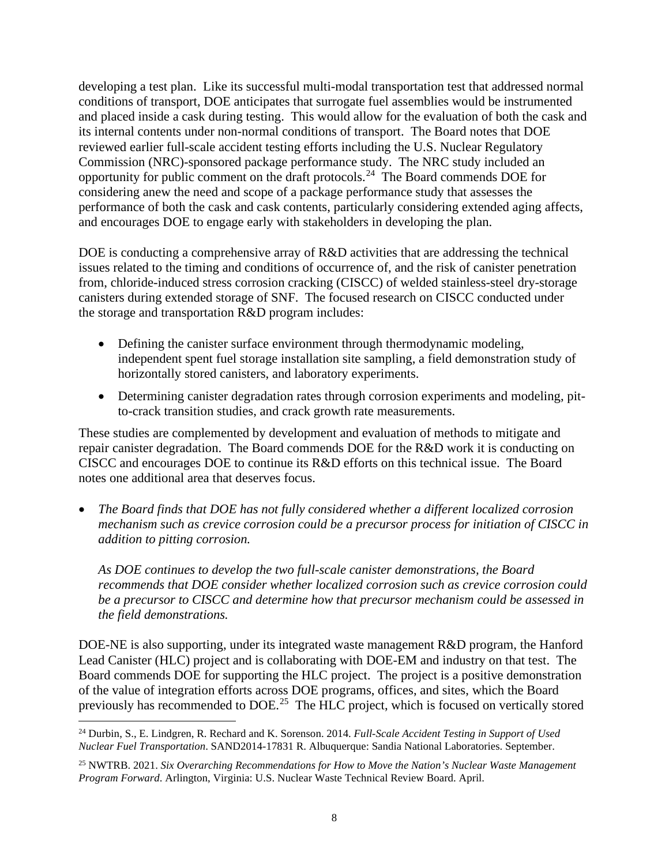developing a test plan. Like its successful multi-modal transportation test that addressed normal conditions of transport, DOE anticipates that surrogate fuel assemblies would be instrumented and placed inside a cask during testing. This would allow for the evaluation of both the cask and its internal contents under non-normal conditions of transport. The Board notes that DOE reviewed earlier full-scale accident testing efforts including the U.S. Nuclear Regulatory Commission (NRC)-sponsored package performance study. The NRC study included an opportunity for public comment on the draft protocols.<sup>[24](#page-7-0)</sup> The Board commends DOE for considering anew the need and scope of a package performance study that assesses the performance of both the cask and cask contents, particularly considering extended aging affects, and encourages DOE to engage early with stakeholders in developing the plan.

DOE is conducting a comprehensive array of R&D activities that are addressing the technical issues related to the timing and conditions of occurrence of, and the risk of canister penetration from, chloride-induced stress corrosion cracking (CISCC) of welded stainless-steel dry-storage canisters during extended storage of SNF. The focused research on CISCC conducted under the storage and transportation R&D program includes:

- Defining the canister surface environment through thermodynamic modeling, independent spent fuel storage installation site sampling, a field demonstration study of horizontally stored canisters, and laboratory experiments.
- Determining canister degradation rates through corrosion experiments and modeling, pitto-crack transition studies, and crack growth rate measurements.

These studies are complemented by development and evaluation of methods to mitigate and repair canister degradation. The Board commends DOE for the R&D work it is conducting on CISCC and encourages DOE to continue its R&D efforts on this technical issue. The Board notes one additional area that deserves focus.

• *The Board finds that DOE has not fully considered whether a different localized corrosion mechanism such as crevice corrosion could be a precursor process for initiation of CISCC in addition to pitting corrosion.* 

*As DOE continues to develop the two full-scale canister demonstrations, the Board recommends that DOE consider whether localized corrosion such as crevice corrosion could be a precursor to CISCC and determine how that precursor mechanism could be assessed in the field demonstrations.* 

DOE-NE is also supporting, under its integrated waste management R&D program, the Hanford Lead Canister (HLC) project and is collaborating with DOE-EM and industry on that test. The Board commends DOE for supporting the HLC project. The project is a positive demonstration of the value of integration efforts across DOE programs, offices, and sites, which the Board previously has recommended to DOE.<sup>[25](#page-7-1)</sup> The HLC project, which is focused on vertically stored

<span id="page-7-0"></span><sup>24</sup> Durbin, S., E. Lindgren, R. Rechard and K. Sorenson. 2014. *Full-Scale Accident Testing in Support of Used Nuclear Fuel Transportation*. SAND2014-17831 R. Albuquerque: Sandia National Laboratories. September.

<span id="page-7-1"></span><sup>25</sup> NWTRB. 2021. *Six Overarching Recommendations for How to Move the Nation's Nuclear Waste Management Program Forward*. Arlington, Virginia: U.S. Nuclear Waste Technical Review Board. April.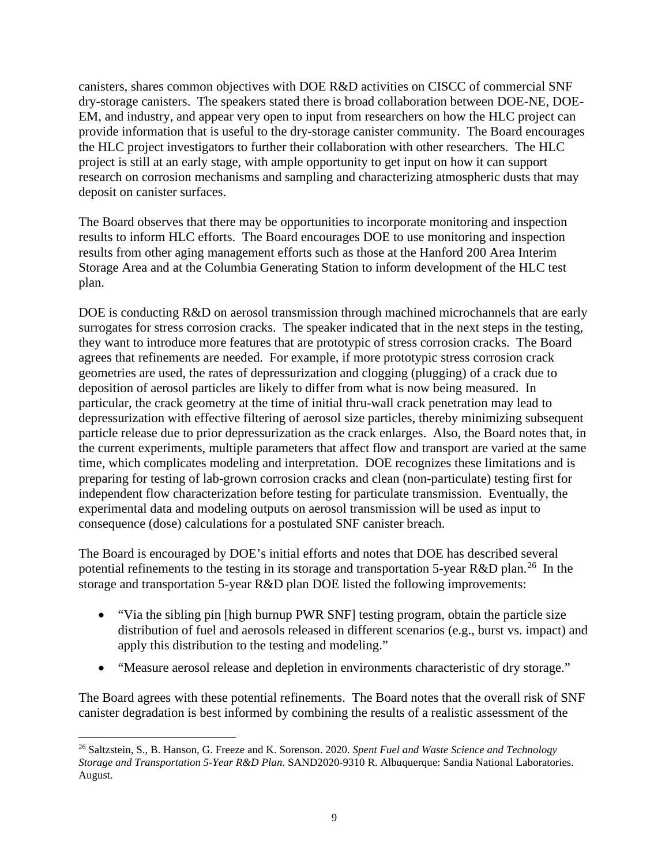canisters, shares common objectives with DOE R&D activities on CISCC of commercial SNF dry-storage canisters. The speakers stated there is broad collaboration between DOE-NE, DOE-EM, and industry, and appear very open to input from researchers on how the HLC project can provide information that is useful to the dry-storage canister community. The Board encourages the HLC project investigators to further their collaboration with other researchers. The HLC project is still at an early stage, with ample opportunity to get input on how it can support research on corrosion mechanisms and sampling and characterizing atmospheric dusts that may deposit on canister surfaces.

The Board observes that there may be opportunities to incorporate monitoring and inspection results to inform HLC efforts. The Board encourages DOE to use monitoring and inspection results from other aging management efforts such as those at the Hanford 200 Area Interim Storage Area and at the Columbia Generating Station to inform development of the HLC test plan.

DOE is conducting R&D on aerosol transmission through machined microchannels that are early surrogates for stress corrosion cracks. The speaker indicated that in the next steps in the testing, they want to introduce more features that are prototypic of stress corrosion cracks. The Board agrees that refinements are needed. For example, if more prototypic stress corrosion crack geometries are used, the rates of depressurization and clogging (plugging) of a crack due to deposition of aerosol particles are likely to differ from what is now being measured. In particular, the crack geometry at the time of initial thru-wall crack penetration may lead to depressurization with effective filtering of aerosol size particles, thereby minimizing subsequent particle release due to prior depressurization as the crack enlarges. Also, the Board notes that, in the current experiments, multiple parameters that affect flow and transport are varied at the same time, which complicates modeling and interpretation. DOE recognizes these limitations and is preparing for testing of lab-grown corrosion cracks and clean (non-particulate) testing first for independent flow characterization before testing for particulate transmission. Eventually, the experimental data and modeling outputs on aerosol transmission will be used as input to consequence (dose) calculations for a postulated SNF canister breach.

The Board is encouraged by DOE's initial efforts and notes that DOE has described several potential refinements to the testing in its storage and transportation 5-year R&D plan.<sup>[26](#page-8-0)</sup> In the storage and transportation 5-year R&D plan DOE listed the following improvements:

- "Via the sibling pin [high burnup PWR SNF] testing program, obtain the particle size distribution of fuel and aerosols released in different scenarios (e.g., burst vs. impact) and apply this distribution to the testing and modeling."
- "Measure aerosol release and depletion in environments characteristic of dry storage."

The Board agrees with these potential refinements. The Board notes that the overall risk of SNF canister degradation is best informed by combining the results of a realistic assessment of the

<span id="page-8-0"></span><sup>26</sup> Saltzstein, S., B. Hanson, G. Freeze and K. Sorenson. 2020. *Spent Fuel and Waste Science and Technology Storage and Transportation 5-Year R&D Plan*. SAND2020-9310 R. Albuquerque: Sandia National Laboratories. August.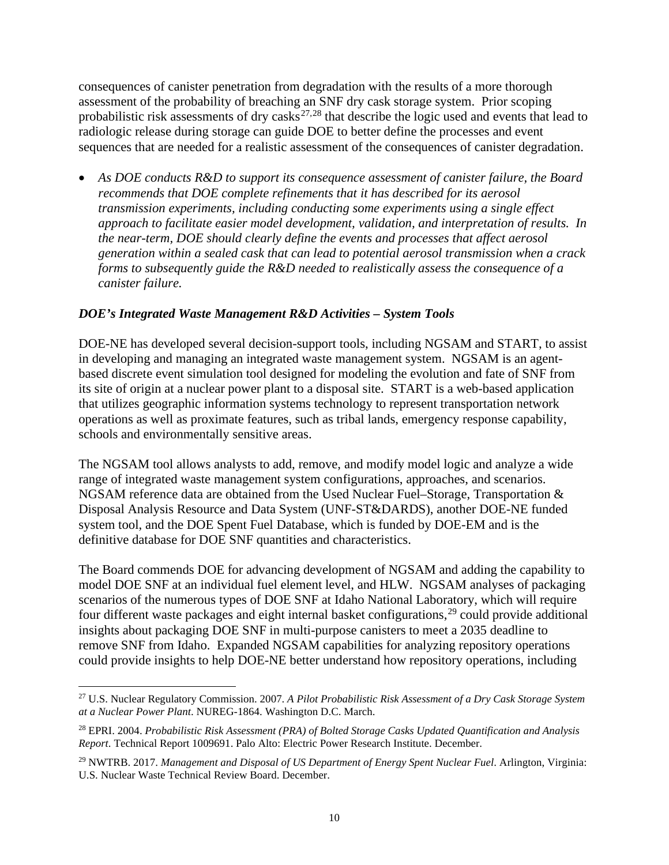consequences of canister penetration from degradation with the results of a more thorough assessment of the probability of breaching an SNF dry cask storage system. Prior scoping probabilistic risk assessments of dry casks<sup>[27,](#page-9-0)[28](#page-9-1)</sup> that describe the logic used and events that lead to radiologic release during storage can guide DOE to better define the processes and event sequences that are needed for a realistic assessment of the consequences of canister degradation.

• *As DOE conducts R&D to support its consequence assessment of canister failure, the Board recommends that DOE complete refinements that it has described for its aerosol transmission experiments, including conducting some experiments using a single effect approach to facilitate easier model development, validation, and interpretation of results. In the near-term, DOE should clearly define the events and processes that affect aerosol generation within a sealed cask that can lead to potential aerosol transmission when a crack forms to subsequently guide the R&D needed to realistically assess the consequence of a canister failure.* 

# *DOE's Integrated Waste Management R&D Activities – System Tools*

DOE-NE has developed several decision-support tools, including NGSAM and START, to assist in developing and managing an integrated waste management system. NGSAM is an agentbased discrete event simulation tool designed for modeling the evolution and fate of SNF from its site of origin at a nuclear power plant to a disposal site. START is a web-based application that utilizes geographic information systems technology to represent transportation network operations as well as proximate features, such as tribal lands, emergency response capability, schools and environmentally sensitive areas.

The NGSAM tool allows analysts to add, remove, and modify model logic and analyze a wide range of integrated waste management system configurations, approaches, and scenarios. NGSAM reference data are obtained from the Used Nuclear Fuel–Storage, Transportation & Disposal Analysis Resource and Data System (UNF-ST&DARDS), another DOE-NE funded system tool, and the DOE Spent Fuel Database, which is funded by DOE-EM and is the definitive database for DOE SNF quantities and characteristics.

The Board commends DOE for advancing development of NGSAM and adding the capability to model DOE SNF at an individual fuel element level, and HLW. NGSAM analyses of packaging scenarios of the numerous types of DOE SNF at Idaho National Laboratory, which will require four different waste packages and eight internal basket configurations,  $^{29}$  $^{29}$  $^{29}$  could provide additional insights about packaging DOE SNF in multi-purpose canisters to meet a 2035 deadline to remove SNF from Idaho. Expanded NGSAM capabilities for analyzing repository operations could provide insights to help DOE-NE better understand how repository operations, including

<span id="page-9-0"></span><sup>27</sup> U.S. Nuclear Regulatory Commission. 2007. *A Pilot Probabilistic Risk Assessment of a Dry Cask Storage System at a Nuclear Power Plant*. NUREG-1864. Washington D.C. March.

<span id="page-9-1"></span><sup>28</sup> EPRI. 2004. *Probabilistic Risk Assessment (PRA) of Bolted Storage Casks Updated Quantification and Analysis Report*. Technical Report 1009691. Palo Alto: Electric Power Research Institute. December.

<span id="page-9-2"></span><sup>29</sup> NWTRB. 2017. *Management and Disposal of US Department of Energy Spent Nuclear Fuel*. Arlington, Virginia: U.S. Nuclear Waste Technical Review Board. December.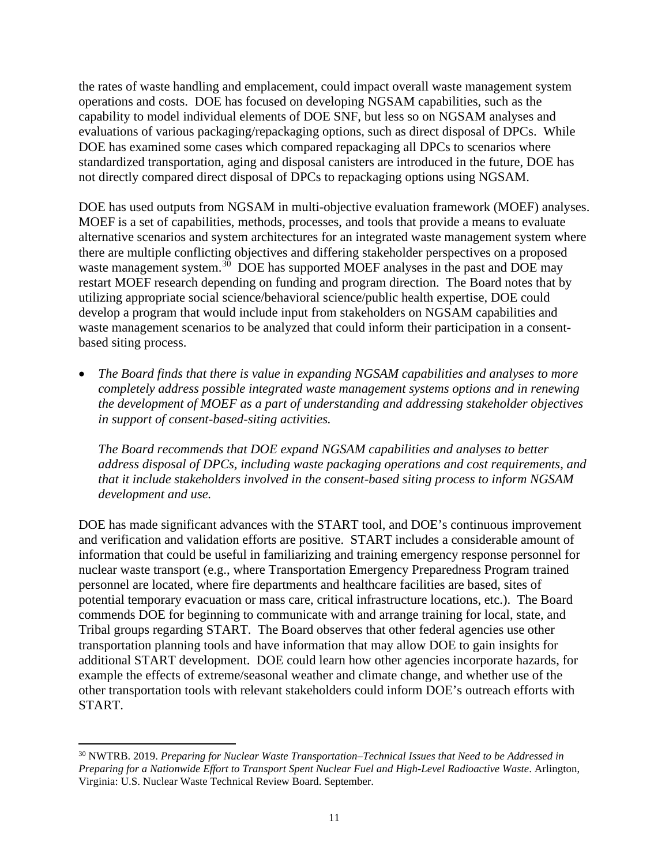the rates of waste handling and emplacement, could impact overall waste management system operations and costs. DOE has focused on developing NGSAM capabilities, such as the capability to model individual elements of DOE SNF, but less so on NGSAM analyses and evaluations of various packaging/repackaging options, such as direct disposal of DPCs. While DOE has examined some cases which compared repackaging all DPCs to scenarios where standardized transportation, aging and disposal canisters are introduced in the future, DOE has not directly compared direct disposal of DPCs to repackaging options using NGSAM.

DOE has used outputs from NGSAM in multi-objective evaluation framework (MOEF) analyses. MOEF is a set of capabilities, methods, processes, and tools that provide a means to evaluate alternative scenarios and system architectures for an integrated waste management system where there are multiple conflicting objectives and differing stakeholder perspectives on a proposed waste management system.<sup>[30](#page-10-0)</sup> DOE has supported MOEF analyses in the past and DOE may restart MOEF research depending on funding and program direction. The Board notes that by utilizing appropriate social science/behavioral science/public health expertise, DOE could develop a program that would include input from stakeholders on NGSAM capabilities and waste management scenarios to be analyzed that could inform their participation in a consentbased siting process.

• *The Board finds that there is value in expanding NGSAM capabilities and analyses to more completely address possible integrated waste management systems options and in renewing the development of MOEF as a part of understanding and addressing stakeholder objectives in support of consent-based-siting activities.* 

*The Board recommends that DOE expand NGSAM capabilities and analyses to better address disposal of DPCs, including waste packaging operations and cost requirements, and that it include stakeholders involved in the consent-based siting process to inform NGSAM development and use.*

DOE has made significant advances with the START tool, and DOE's continuous improvement and verification and validation efforts are positive. START includes a considerable amount of information that could be useful in familiarizing and training emergency response personnel for nuclear waste transport (e.g., where Transportation Emergency Preparedness Program trained personnel are located, where fire departments and healthcare facilities are based, sites of potential temporary evacuation or mass care, critical infrastructure locations, etc.). The Board commends DOE for beginning to communicate with and arrange training for local, state, and Tribal groups regarding START. The Board observes that other federal agencies use other transportation planning tools and have information that may allow DOE to gain insights for additional START development. DOE could learn how other agencies incorporate hazards, for example the effects of extreme/seasonal weather and climate change, and whether use of the other transportation tools with relevant stakeholders could inform DOE's outreach efforts with START.

<span id="page-10-0"></span><sup>30</sup> NWTRB. 2019. *Preparing for Nuclear Waste Transportation–Technical Issues that Need to be Addressed in Preparing for a Nationwide Effort to Transport Spent Nuclear Fuel and High-Level Radioactive Waste*. Arlington, Virginia: U.S. Nuclear Waste Technical Review Board. September.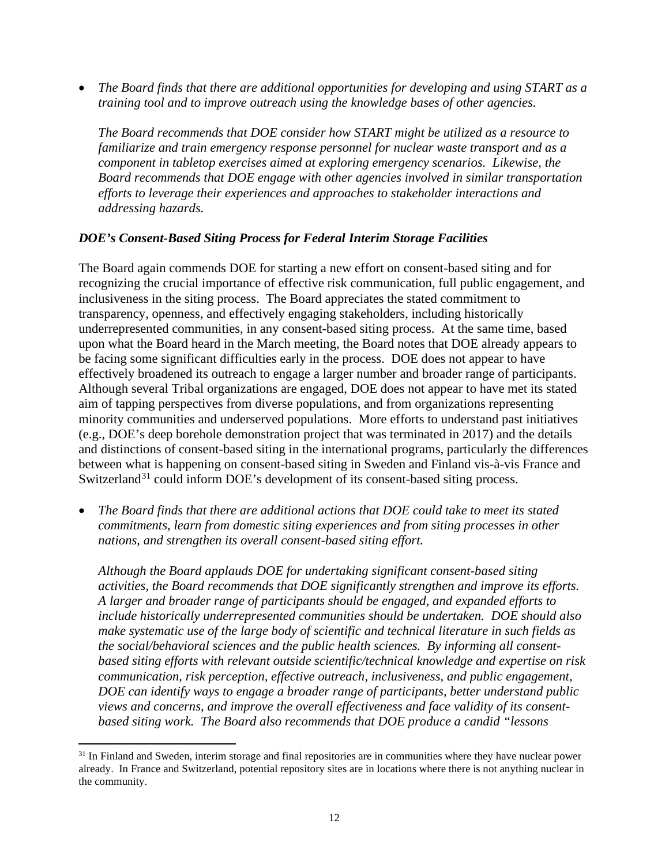• *The Board finds that there are additional opportunities for developing and using START as a training tool and to improve outreach using the knowledge bases of other agencies.*

*The Board recommends that DOE consider how START might be utilized as a resource to familiarize and train emergency response personnel for nuclear waste transport and as a component in tabletop exercises aimed at exploring emergency scenarios. Likewise, the Board recommends that DOE engage with other agencies involved in similar transportation efforts to leverage their experiences and approaches to stakeholder interactions and addressing hazards.*

#### *DOE's Consent-Based Siting Process for Federal Interim Storage Facilities*

The Board again commends DOE for starting a new effort on consent-based siting and for recognizing the crucial importance of effective risk communication, full public engagement, and inclusiveness in the siting process. The Board appreciates the stated commitment to transparency, openness, and effectively engaging stakeholders, including historically underrepresented communities, in any consent-based siting process. At the same time, based upon what the Board heard in the March meeting, the Board notes that DOE already appears to be facing some significant difficulties early in the process. DOE does not appear to have effectively broadened its outreach to engage a larger number and broader range of participants. Although several Tribal organizations are engaged, DOE does not appear to have met its stated aim of tapping perspectives from diverse populations, and from organizations representing minority communities and underserved populations. More efforts to understand past initiatives (e.g., DOE's deep borehole demonstration project that was terminated in 2017) and the details and distinctions of consent-based siting in the international programs, particularly the differences between what is happening on consent-based siting in Sweden and Finland vis-à-vis France and Switzerland<sup>[31](#page-11-0)</sup> could inform DOE's development of its consent-based siting process.

• *The Board finds that there are additional actions that DOE could take to meet its stated commitments, learn from domestic siting experiences and from siting processes in other nations, and strengthen its overall consent-based siting effort.* 

*Although the Board applauds DOE for undertaking significant consent-based siting activities, the Board recommends that DOE significantly strengthen and improve its efforts. A larger and broader range of participants should be engaged, and expanded efforts to include historically underrepresented communities should be undertaken. DOE should also make systematic use of the large body of scientific and technical literature in such fields as the social/behavioral sciences and the public health sciences. By informing all consentbased siting efforts with relevant outside scientific/technical knowledge and expertise on risk communication, risk perception, effective outreach, inclusiveness, and public engagement, DOE can identify ways to engage a broader range of participants, better understand public views and concerns, and improve the overall effectiveness and face validity of its consentbased siting work. The Board also recommends that DOE produce a candid "lessons* 

<span id="page-11-0"></span><sup>&</sup>lt;sup>31</sup> In Finland and Sweden, interim storage and final repositories are in communities where they have nuclear power already. In France and Switzerland, potential repository sites are in locations where there is not anything nuclear in the community.